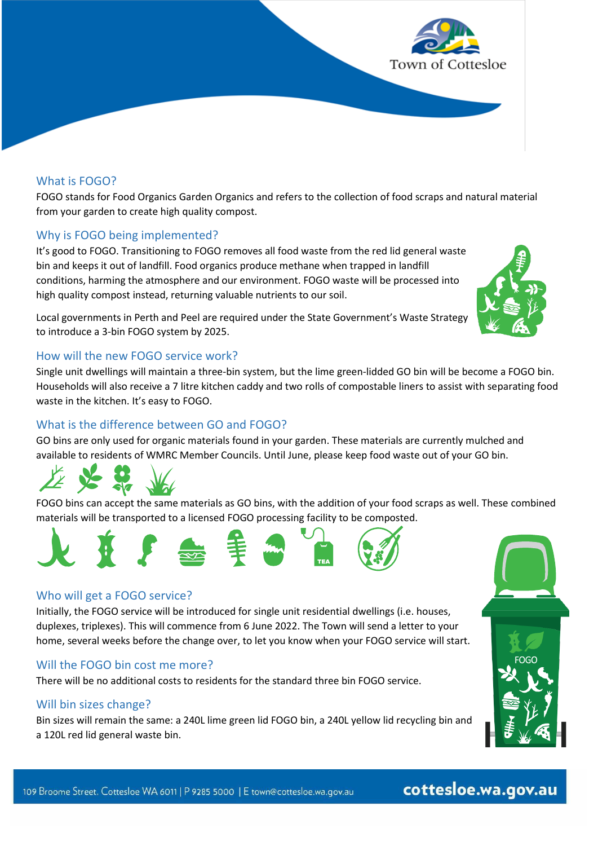# What is FOGO?

FOGO stands for Food Organics Garden Organics and refers to the collection of food scraps and natural material from your garden to create high quality compost.

# Why is FOGO being implemented?

It's good to FOGO. Transitioning to FOGO removes all food waste from the red lid general waste bin and keeps it out of landfill. Food organics produce methane when trapped in landfill conditions, harming the atmosphere and our environment. FOGO waste will be processed into high quality compost instead, returning valuable nutrients to our soil.

Local governments in Perth and Peel are required under the State Government's Waste Strategy to introduce a 3-bin FOGO system by 2025.

### How will the new FOGO service work?

Single unit dwellings will maintain a three-bin system, but the lime green-lidded GO bin will be become a FOGO bin. Households will also receive a 7 litre kitchen caddy and two rolls of compostable liners to assist with separating food waste in the kitchen. It's easy to FOGO.

# What is the difference between GO and FOGO?

GO bins are only used for organic materials found in your garden. These materials are currently mulched and available to residents of WMRC Member Councils. Until June, please keep food waste out of your GO bin.

FOGO bins can accept the same materials as GO bins, with the addition of your food scraps as well. These combined materials will be transported to a licensed FOGO processing facility to be composted.

#### Who will get a FOGO service?

Initially, the FOGO service will be introduced for single unit residential dwellings (i.e. houses, duplexes, triplexes). This will commence from 6 June 2022. The Town will send a letter to your home, several weeks before the change over, to let you know when your FOGO service will start.

#### Will the FOGO bin cost me more?

There will be no additional costs to residents for the standard three bin FOGO service.

#### Will bin sizes change?

Bin sizes will remain the same: a 240L lime green lid FOGO bin, a 240L yellow lid recycling bin and a 120L red lid general waste bin.





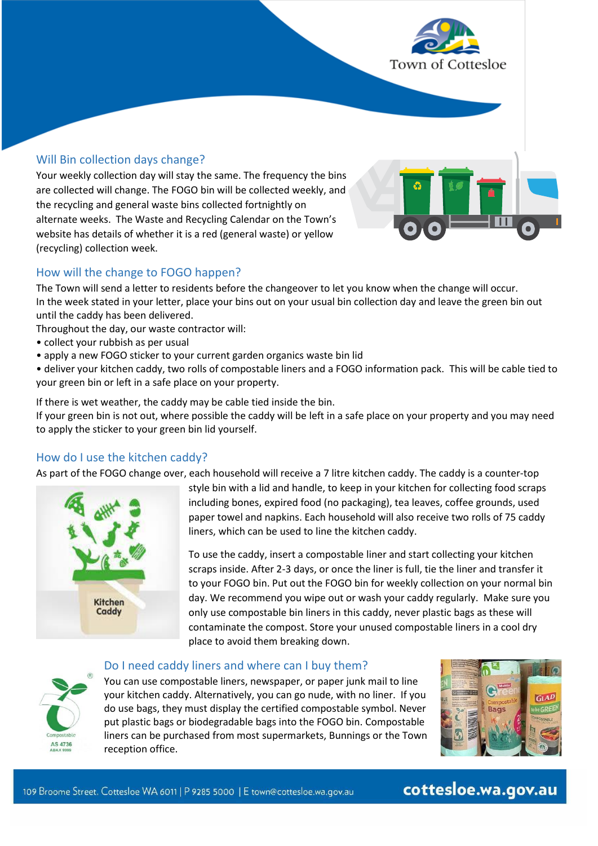

# Will Bin collection days change?

Your weekly collection day will stay the same. The frequency the bins are collected will change. The FOGO bin will be collected weekly, and the recycling and general waste bins collected fortnightly on alternate weeks. The Waste and Recycling Calendar on the Town's website has details of whether it is a red (general waste) or yellow (recycling) collection week.



# How will the change to FOGO happen?

The Town will send a letter to residents before the changeover to let you know when the change will occur. In the week stated in your letter, place your bins out on your usual bin collection day and leave the green bin out until the caddy has been delivered.

Throughout the day, our waste contractor will:

- collect your rubbish as per usual
- apply a new FOGO sticker to your current garden organics waste bin lid
- deliver your kitchen caddy, two rolls of compostable liners and a FOGO information pack. This will be cable tied to your green bin or left in a safe place on your property.

If there is wet weather, the caddy may be cable tied inside the bin.

If your green bin is not out, where possible the caddy will be left in a safe place on your property and you may need to apply the sticker to your green bin lid yourself.

### How do I use the kitchen caddy?

As part of the FOGO change over, each household will receive a 7 litre kitchen caddy. The caddy is a counter-top



style bin with a lid and handle, to keep in your kitchen for collecting food scraps including bones, expired food (no packaging), tea leaves, coffee grounds, used paper towel and napkins. Each household will also receive two rolls of 75 caddy liners, which can be used to line the kitchen caddy.

To use the caddy, insert a compostable liner and start collecting your kitchen scraps inside. After 2-3 days, or once the liner is full, tie the liner and transfer it to your FOGO bin. Put out the FOGO bin for weekly collection on your normal bin day. We recommend you wipe out or wash your caddy regularly. Make sure you only use compostable bin liners in this caddy, never plastic bags as these will contaminate the compost. Store your unused compostable liners in a cool dry place to avoid them breaking down.

### Do I need caddy liners and where can I buy them?



You can use compostable liners, newspaper, or paper junk mail to line your kitchen caddy. Alternatively, you can go nude, with no liner. If you do use bags, they must display the certified compostable symbol. Never put plastic bags or biodegradable bags into the FOGO bin. Compostable liners can be purchased from most supermarkets, Bunnings or the Town reception office.



# cottesloe.wa.gov.au